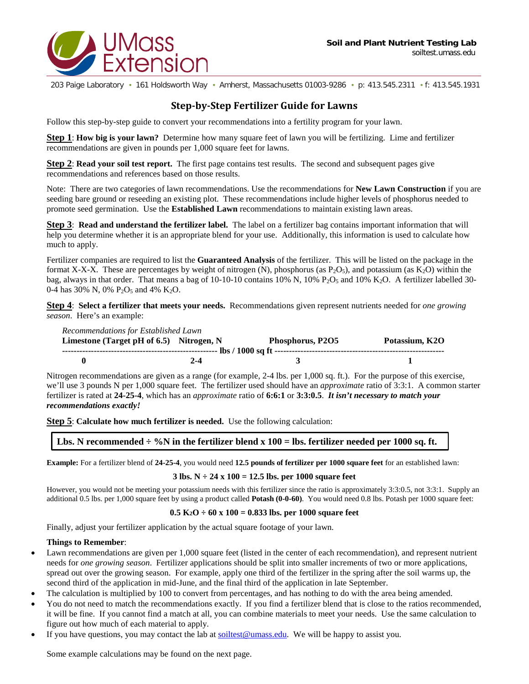

203 Paige Laboratory • 161 Holdsworth Way • Amherst, Massachusetts 01003-9286 • p: 413.545.2311 • f: 413.545.1931

## **Step-by-Step Fertilizer Guide for Lawns**

Follow this step-by-step guide to convert your recommendations into a fertility program for your lawn.

**Step 1**: **How big is your lawn?** Determine how many square feet of lawn you will be fertilizing. Lime and fertilizer recommendations are given in pounds per 1,000 square feet for lawns.

**Step 2**: **Read your soil test report.** The first page contains test results. The second and subsequent pages give recommendations and references based on those results.

Note: There are two categories of lawn recommendations. Use the recommendations for **New Lawn Construction** if you are seeding bare ground or reseeding an existing plot. These recommendations include higher levels of phosphorus needed to promote seed germination. Use the **Established Lawn** recommendations to maintain existing lawn areas.

**Step 3**: **Read and understand the fertilizer label.** The label on a fertilizer bag contains important information that will help you determine whether it is an appropriate blend for your use. Additionally, this information is used to calculate how much to apply.

Fertilizer companies are required to list the **Guaranteed Analysis** of the fertilizer. This will be listed on the package in the format X-X-X. These are percentages by weight of nitrogen (N), phosphorus (as  $P_2O_5$ ), and potassium (as  $K_2O$ ) within the bag, always in that order. That means a bag of 10-10-10 contains 10% N, 10%  $P_2O_5$  and 10% K<sub>2</sub>O. A fertilizer labelled 30-0-4 has 30% N, 0%  $P_2O_5$  and 4% K<sub>2</sub>O.

**Step 4**: **Select a fertilizer that meets your needs.** Recommendations given represent nutrients needed for *one growing season*. Here's an example:

| Recommendations for Established Lawn        |     |                  |                |  |  |
|---------------------------------------------|-----|------------------|----------------|--|--|
| Limestone (Target pH of $6.5$ ) Nitrogen, N |     | Phosphorus, P2O5 | Potassium, K2O |  |  |
|                                             |     |                  |                |  |  |
|                                             | 2-4 |                  |                |  |  |

Nitrogen recommendations are given as a range (for example, 2-4 lbs. per 1,000 sq. ft.). For the purpose of this exercise, we'll use 3 pounds N per 1,000 square feet. The fertilizer used should have an *approximate* ratio of 3:3:1. A common starter fertilizer is rated at **24-25-4**, which has an *approximate* ratio of **6:6:1** or **3:3:0.5**. *It isn't necessary to match your recommendations exactly!*

**Step 5**: **Calculate how much fertilizer is needed.** Use the following calculation:

**Lbs. N recommended**  $\div$  **%N in the fertilizer blend x 100 = lbs. fertilizer needed per 1000 sq. ft.** 

**Example:** For a fertilizer blend of **24-25-4**, you would need **12.5 pounds of fertilizer per 1000 square feet** for an established lawn:

## **3 lbs. N ÷ 24 x 100 = 12.5 lbs. per 1000 square feet**

However, you would not be meeting your potassium needs with this fertilizer since the ratio is approximately 3:3:0.5, not 3:3:1. Supply an additional 0.5 lbs. per 1,000 square feet by using a product called **Potash (0-0-60)**. You would need 0.8 lbs. Potash per 1000 square feet:

## **0.5 K2O ÷ 60 x 100 = 0.833 lbs. per 1000 square feet**

Finally, adjust your fertilizer application by the actual square footage of your lawn.

## **Things to Remember**:

- Lawn recommendations are given per 1,000 square feet (listed in the center of each recommendation), and represent nutrient needs for *one growing season*. Fertilizer applications should be split into smaller increments of two or more applications, spread out over the growing season. For example, apply one third of the fertilizer in the spring after the soil warms up, the second third of the application in mid-June, and the final third of the application in late September.
- The calculation is multiplied by 100 to convert from percentages, and has nothing to do with the area being amended.
- You do not need to match the recommendations exactly. If you find a fertilizer blend that is close to the ratios recommended, it will be fine. If you cannot find a match at all, you can combine materials to meet your needs. Use the same calculation to figure out how much of each material to apply.
- If you have questions, you may contact the lab at  $\frac{\text{soltest}@$  was sedu. We will be happy to assist you.

Some example calculations may be found on the next page.